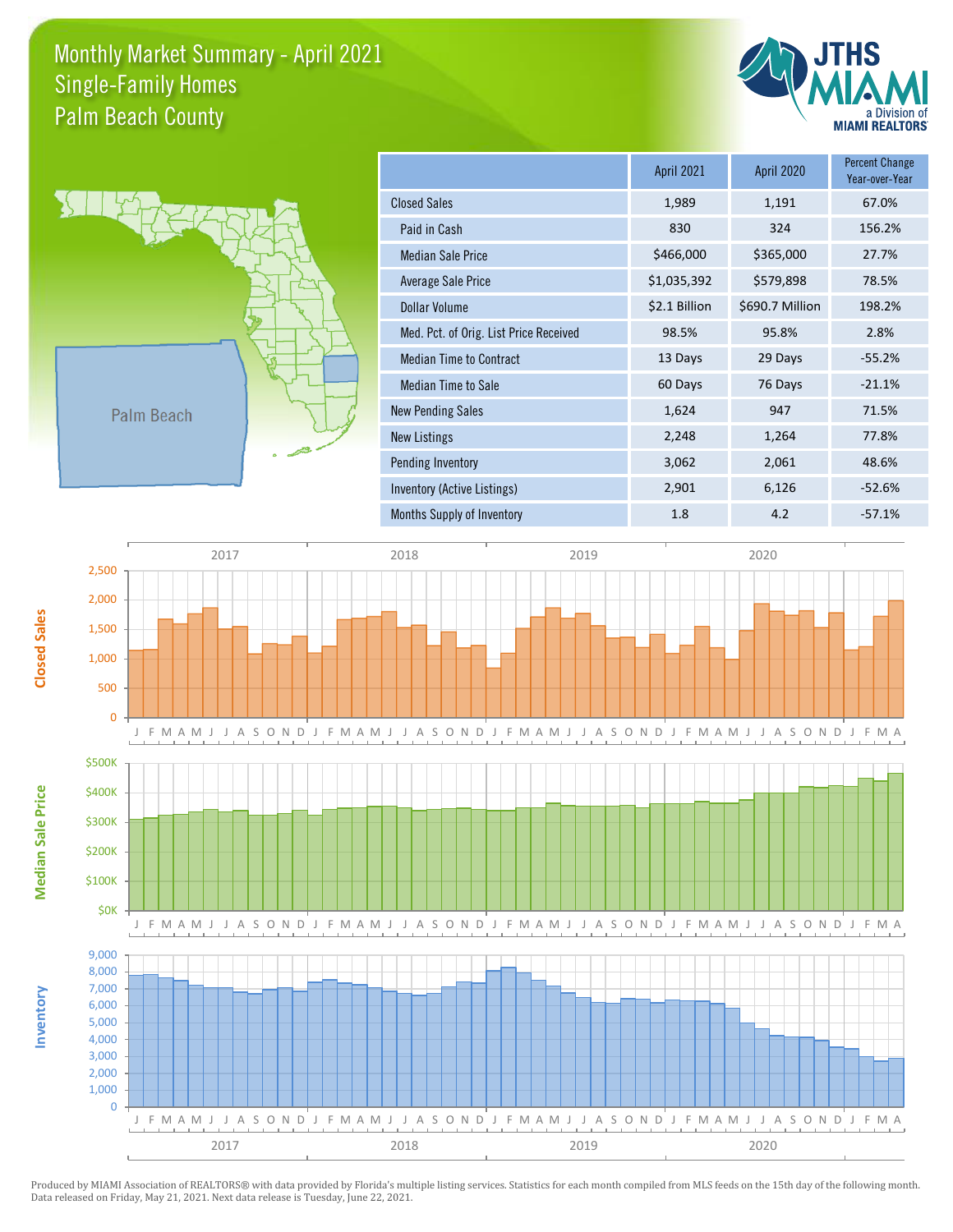## Monthly Market Summary - April 2021 Palm Beach County Single-Family Homes





**Inventory** 

**Median Sale Price** 

**Closed Sales** 

|                                        | <b>April 2021</b> | <b>April 2020</b> | <b>Percent Change</b><br>Year-over-Year |
|----------------------------------------|-------------------|-------------------|-----------------------------------------|
| <b>Closed Sales</b>                    | 1,989             | 1,191             | 67.0%                                   |
| Paid in Cash                           | 830               | 324               | 156.2%                                  |
| <b>Median Sale Price</b>               | \$466,000         | \$365,000         | 27.7%                                   |
| Average Sale Price                     | \$1,035,392       | \$579,898         | 78.5%                                   |
| Dollar Volume                          | \$2.1 Billion     | \$690.7 Million   | 198.2%                                  |
| Med. Pct. of Orig. List Price Received | 98.5%             | 95.8%             | 2.8%                                    |
| <b>Median Time to Contract</b>         | 13 Days           | 29 Days           | $-55.2%$                                |
| <b>Median Time to Sale</b>             | 60 Days           | 76 Days           | $-21.1%$                                |
| <b>New Pending Sales</b>               | 1,624             | 947               | 71.5%                                   |
| New Listings                           | 2,248             | 1,264             | 77.8%                                   |
| Pending Inventory                      | 3,062             | 2,061             | 48.6%                                   |
| Inventory (Active Listings)            | 2,901             | 6,126             | $-52.6%$                                |
| Months Supply of Inventory             | 1.8               | 4.2               | $-57.1%$                                |



Data released on Friday, May 21, 2021. Next data release is Tuesday, June 22, 2021. Produced by MIAMI Association of REALTORS® with data provided by Florida's multiple listing services. Statistics for each month compiled from MLS feeds on the 15th day of the following month.